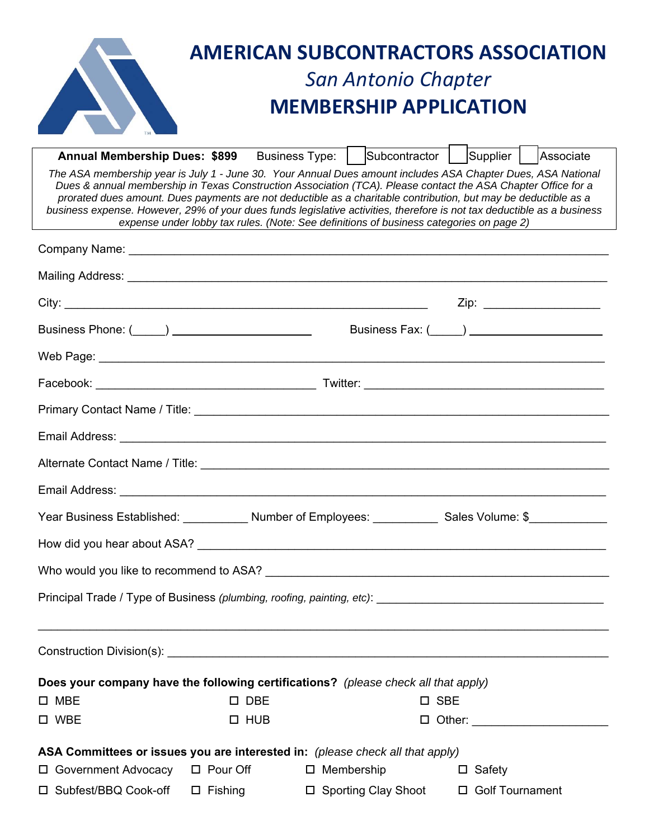| <b>AMERICAN SUBCONTRACTORS ASSOCIATION</b>                                                                                                                                                                                                                                                                                                                                                                                                                                                                                                                             |  |  |  |  |  |  |  |  |
|------------------------------------------------------------------------------------------------------------------------------------------------------------------------------------------------------------------------------------------------------------------------------------------------------------------------------------------------------------------------------------------------------------------------------------------------------------------------------------------------------------------------------------------------------------------------|--|--|--|--|--|--|--|--|
| <b>San Antonio Chapter</b>                                                                                                                                                                                                                                                                                                                                                                                                                                                                                                                                             |  |  |  |  |  |  |  |  |
| <b>MEMBERSHIP APPLICATION</b>                                                                                                                                                                                                                                                                                                                                                                                                                                                                                                                                          |  |  |  |  |  |  |  |  |
| Business Type:   Subcontractor   Supplier   Associate<br><b>Annual Membership Dues: \$899</b>                                                                                                                                                                                                                                                                                                                                                                                                                                                                          |  |  |  |  |  |  |  |  |
| The ASA membership year is July 1 - June 30. Your Annual Dues amount includes ASA Chapter Dues, ASA National<br>Dues & annual membership in Texas Construction Association (TCA). Please contact the ASA Chapter Office for a<br>prorated dues amount. Dues payments are not deductible as a charitable contribution, but may be deductible as a<br>business expense. However, 29% of your dues funds legislative activities, therefore is not tax deductible as a business<br>expense under lobby tax rules. (Note: See definitions of business categories on page 2) |  |  |  |  |  |  |  |  |
|                                                                                                                                                                                                                                                                                                                                                                                                                                                                                                                                                                        |  |  |  |  |  |  |  |  |
|                                                                                                                                                                                                                                                                                                                                                                                                                                                                                                                                                                        |  |  |  |  |  |  |  |  |
| Zip: ________________________                                                                                                                                                                                                                                                                                                                                                                                                                                                                                                                                          |  |  |  |  |  |  |  |  |
| Business Fax: (____) _______________________                                                                                                                                                                                                                                                                                                                                                                                                                                                                                                                           |  |  |  |  |  |  |  |  |
|                                                                                                                                                                                                                                                                                                                                                                                                                                                                                                                                                                        |  |  |  |  |  |  |  |  |
|                                                                                                                                                                                                                                                                                                                                                                                                                                                                                                                                                                        |  |  |  |  |  |  |  |  |
|                                                                                                                                                                                                                                                                                                                                                                                                                                                                                                                                                                        |  |  |  |  |  |  |  |  |
|                                                                                                                                                                                                                                                                                                                                                                                                                                                                                                                                                                        |  |  |  |  |  |  |  |  |
|                                                                                                                                                                                                                                                                                                                                                                                                                                                                                                                                                                        |  |  |  |  |  |  |  |  |
|                                                                                                                                                                                                                                                                                                                                                                                                                                                                                                                                                                        |  |  |  |  |  |  |  |  |
| Year Business Established: ____________ Number of Employees: ____________ Sales Volume: \$___________                                                                                                                                                                                                                                                                                                                                                                                                                                                                  |  |  |  |  |  |  |  |  |
|                                                                                                                                                                                                                                                                                                                                                                                                                                                                                                                                                                        |  |  |  |  |  |  |  |  |
|                                                                                                                                                                                                                                                                                                                                                                                                                                                                                                                                                                        |  |  |  |  |  |  |  |  |
| ,我们也不能会有什么。""我们的人,我们也不能会有什么?""我们的人,我们也不能会有什么?""我们的人,我们也不能会有什么?""我们的人,我们也不能会有什么?""                                                                                                                                                                                                                                                                                                                                                                                                                                                                                      |  |  |  |  |  |  |  |  |
|                                                                                                                                                                                                                                                                                                                                                                                                                                                                                                                                                                        |  |  |  |  |  |  |  |  |
| Does your company have the following certifications? (please check all that apply)                                                                                                                                                                                                                                                                                                                                                                                                                                                                                     |  |  |  |  |  |  |  |  |
| $\square$ MBE<br>$\square$ DBE<br>$\square$ SBE                                                                                                                                                                                                                                                                                                                                                                                                                                                                                                                        |  |  |  |  |  |  |  |  |
| $\square$ WBE<br>$\Box$ HUB<br>□ Other: _______________________                                                                                                                                                                                                                                                                                                                                                                                                                                                                                                        |  |  |  |  |  |  |  |  |
| ASA Committees or issues you are interested in: (please check all that apply)                                                                                                                                                                                                                                                                                                                                                                                                                                                                                          |  |  |  |  |  |  |  |  |
| $\Box$ Pour Off<br>$\square$ Membership<br>□ Government Advocacy<br>$\Box$ Safety                                                                                                                                                                                                                                                                                                                                                                                                                                                                                      |  |  |  |  |  |  |  |  |
| □ Subfest/BBQ Cook-off<br>$\Box$ Fishing<br>□ Sporting Clay Shoot □ Golf Tournament                                                                                                                                                                                                                                                                                                                                                                                                                                                                                    |  |  |  |  |  |  |  |  |